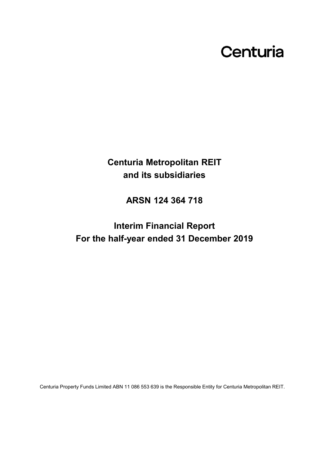# Centuria

**Centuria Metropolitan REIT and its subsidiaries**

**ARSN 124 364 718**

**Interim Financial Report For the half-year ended 31 December 2019**

Centuria Property Funds Limited ABN 11 086 553 639 is the Responsible Entity for Centuria Metropolitan REIT.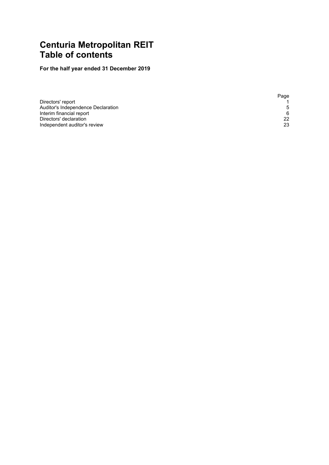# <span id="page-1-1"></span><span id="page-1-0"></span>**Centuria Metropolitan REIT Table of contents**

# **For the half year ended 31 December 2019**

|                                    | Page |
|------------------------------------|------|
| Directors' report                  |      |
| Auditor's Independence Declaration | .5   |
| Interim financial report           | 6    |
| Directors' declaration             | 22   |
| Independent auditor's review       | 23   |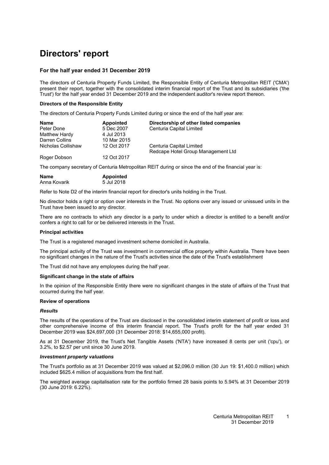# <span id="page-2-0"></span>**Directors' report**

#### **For the half year ended 31 December 2019**

The directors of Centuria Property Funds Limited, the Responsible Entity of Centuria Metropolitan REIT ('CMA') present their report, together with the consolidated interim financial report of the Trust and its subsidiaries ('the Trust') for the half year ended 31 December 2019 and the independent auditor's review report thereon.

#### **Directors of the Responsible Entity**

The directors of Centuria Property Funds Limited during or since the end of the half year are:

| <b>Name</b>        | <b>Appointed</b> | Directorship of other listed companies |
|--------------------|------------------|----------------------------------------|
| Peter Done         | 5 Dec 2007       | Centuria Capital Limited               |
| Matthew Hardy      | 4 Jul 2013       |                                        |
| Darren Collins     | 10 Mar 2015      |                                        |
| Nicholas Collishaw | 12 Oct 2017      | Centuria Capital Limited               |
|                    |                  | Redcape Hotel Group Management Ltd     |
| Roger Dobson       | 12 Oct 2017      |                                        |

The company secretary of Centuria Metropolitan REIT during or since the end of the financial year is:

| <b>Name</b>  | Appointed  |
|--------------|------------|
| Anna Kovarik | 5 Jul 2018 |

Refer to Note D2 of the interim financial report for director's units holding in the Trust.

No director holds a right or option over interests in the Trust. No options over any issued or unissued units in the Trust have been issued to any director.

There are no contracts to which any director is a party to under which a director is entitled to a benefit and/or confers a right to call for or be delivered interests in the Trust.

#### **Principal activities**

The Trust is a registered managed investment scheme domiciled in Australia.

The principal activity of the Trust was investment in commercial office property within Australia. There have been no significant changes in the nature of the Trust's activities since the date of the Trust's establishment

The Trust did not have any employees during the half year.

#### **Significant change in the state of affairs**

In the opinion of the Responsible Entity there were no significant changes in the state of affairs of the Trust that occurred during the half year.

#### **Review of operations**

#### *Results*

The results of the operations of the Trust are disclosed in the consolidated interim statement of profit or loss and other comprehensive income of this interim financial report. The Trust's profit for the half year ended 31 December 2019 was \$24,697,000 (31 December 2018: \$14,655,000 profit).

As at 31 December 2019, the Trust's Net Tangible Assets ('NTA') have increased 8 cents per unit ('cpu'), or 3.2%, to \$2.57 per unit since 30 June 2019.

#### *Investment property valuations*

The Trust's portfolio as at 31 December 2019 was valued at \$2,096.0 million (30 Jun 19: \$1,400.0 million) which included \$625.4 million of acquisitions from the first half.

The weighted average capitalisation rate for the portfolio firmed 28 basis points to 5.94% at 31 December 2019 (30 June 2019: 6.22%).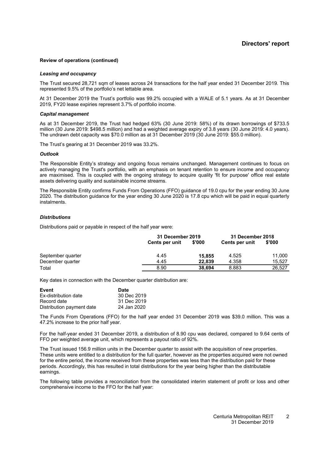#### **Review of operations (continued)**

#### *Leasing and occupancy*

The Trust secured 28,721 sqm of leases across 24 transactions for the half year ended 31 December 2019. This represented 9.5% of the portfolio's net lettable area.

At 31 December 2019 the Trust's portfolio was 99.2% occupied with a WALE of 5.1 years. As at 31 December 2019, FY20 lease expiries represent 3.7% of portfolio income.

#### *Capital management*

As at 31 December 2019, the Trust had hedged 63% (30 June 2019: 58%) of its drawn borrowings of \$733.5 million (30 June 2019: \$498.5 million) and had a weighted average expiry of 3.8 years (30 June 2019: 4.0 years). The undrawn debt capacity was \$70.0 million as at 31 December 2019 (30 June 2019: \$55.0 million).

The Trust's gearing at 31 December 2019 was 33.2%.

#### *Outlook*

The Responsible Entity's strategy and ongoing focus remains unchanged. Management continues to focus on actively managing the Trust's portfolio, with an emphasis on tenant retention to ensure income and occupancy are maximised. This is coupled with the ongoing strategy to acquire quality 'fit for purpose' office real estate assets delivering quality and sustainable income streams.

The Responsible Entity confirms Funds From Operations (FFO) guidance of 19.0 cpu for the year ending 30 June 2020. The distribution guidance for the year ending 30 June 2020 is 17.8 cpu which will be paid in equal quarterly instalments.

#### *Distributions*

Distributions paid or payable in respect of the half year were:

|                   |                | 31 December 2019 |                | <b>31 December 2018</b> |
|-------------------|----------------|------------------|----------------|-------------------------|
|                   | Cents per unit | \$'000           | Cents per unit | \$'000                  |
| September quarter | 4.45           | 15,855           | 4.525          | 11,000                  |
| December quarter  | 4.45           | 22.839           | 4.358          | 15.527                  |
| Total             | 8.90           | 38.694           | 8.883          | 26.527                  |

Key dates in connection with the December quarter distribution are:

| Event                       | <b>Date</b> |
|-----------------------------|-------------|
| <b>Ex-distribution date</b> | 30 Dec 2019 |
| Record date                 | 31 Dec 2019 |
| Distribution payment date   | 24 Jan 2020 |

The Funds From Operations (FFO) for the half year ended 31 December 2019 was \$39.0 million. This was a 47.2% increase to the prior half year.

For the half-year ended 31 December 2019, a distribution of 8.90 cpu was declared, compared to 9.64 cents of FFO per weighted average unit, which represents a payout ratio of 92%.

The Trust issued 156.9 million units in the December quarter to assist with the acquisition of new properties. These units were entitled to a distribution for the full quarter, however as the properties acquired were not owned for the entire period, the income received from these properties was less than the distribution paid for these periods. Accordingly, this has resulted in total distributions for the year being higher than the distributable earnings.

The following table provides a reconciliation from the consolidated interim statement of profit or loss and other comprehensive income to the FFO for the half year: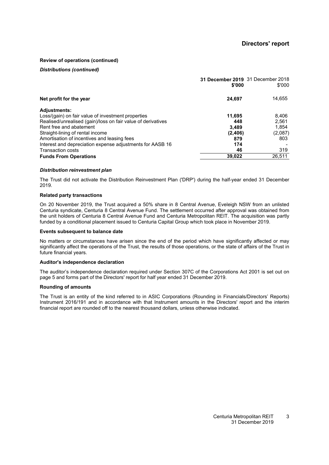#### <span id="page-4-0"></span>**Review of operations (continued)**

#### *Distributions (continued)*

|                                                              | 31 December 2019 31 December 2018<br>\$'000 | \$'000  |
|--------------------------------------------------------------|---------------------------------------------|---------|
| Net profit for the year                                      | 24,697                                      | 14,655  |
| <b>Adjustments:</b>                                          |                                             |         |
| Loss/(gain) on fair value of investment properties           | 11,695                                      | 8,406   |
| Realised/unrealised (gain)/loss on fair value of derivatives | 448                                         | 2,561   |
| Rent free and abatement                                      | 3.489                                       | 1.854   |
| Straight-lining of rental income                             | (2,406)                                     | (2,087) |
| Amortisation of incentives and leasing fees                  | 879                                         | 803     |
| Interest and depreciation expense adjustments for AASB 16    | 174                                         |         |
| <b>Transaction costs</b>                                     | 46                                          | 319     |
| <b>Funds From Operations</b>                                 | 39.022                                      | 26,511  |

#### *Distribution reinvestment plan*

The Trust did not activate the Distribution Reinvestment Plan ('DRP') during the half-year ended 31 December 2019.

#### **Related party transactions**

On 20 November 2019, the Trust acquired a 50% share in 8 Central Avenue, Eveleigh NSW from an unlisted Centuria syndicate, Centuria 8 Central Avenue Fund. The settlement occurred after approval was obtained from the unit holders of Centuria 8 Central Avenue Fund and Centuria Metropolitan REIT. The acquisition was partly funded by a conditional placement issued to Centuria Capital Group which took place in November 2019.

#### **Events subsequent to balance date**

No matters or circumstances have arisen since the end of the period which have significantly affected or may significantly affect the operations of the Trust, the results of those operations, or the state of affairs of the Trust in future financial years.

#### **Auditor's independence declaration**

The auditor's independence declaration required under Section 307C of the Corporations Act 2001 is set out on page [5](#page-4-0) and forms part of the Directors' report for half year ended 31 December 2019.

#### **Rounding of amounts**

The Trust is an entity of the kind referred to in ASIC Corporations (Rounding in Financials/Directors' Reports) Instrument 2016/191 and in accordance with that Instrument amounts in the Directors' report and the interim financial report are rounded off to the nearest thousand dollars, unless otherwise indicated.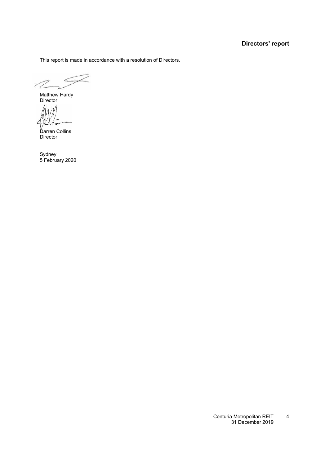### **Directors' report**

This report is made in accordance with a resolution of Directors.

Matthew Hardy Director

Darren Collins Director

Sydney 5 February 2020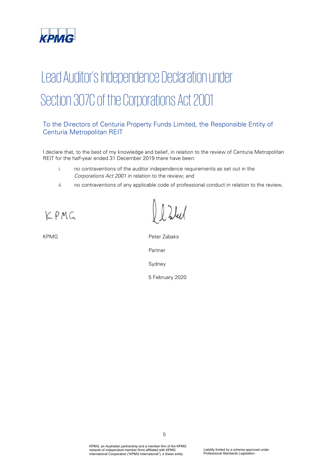

# Lead Auditor's Independence Declaration under Section 307C of the Corporations Act 2001

### To the Directors of Centuria Property Funds Limited, the Responsible Entity of Centuria Metropolitan REIT

I declare that, to the best of my knowledge and belief, in relation to the review of Centuria Metropolitan REIT for the half-year ended 31 December 2019 there have been:

- i. no contraventions of the auditor independence requirements as set out in the Corporations Act 2001 in relation to the review; and
- ii. no contraventions of any applicable code of professional conduct in relation to the review.

KPMG

KPMG Peter Zabaks Partner Sydney 5 February 2020

> KPMG, an Australian partnership and a member firm of the KPMG network of independent member firms affiliated with KPMG International Cooperative ("KPMG International"), a Swiss entity.

5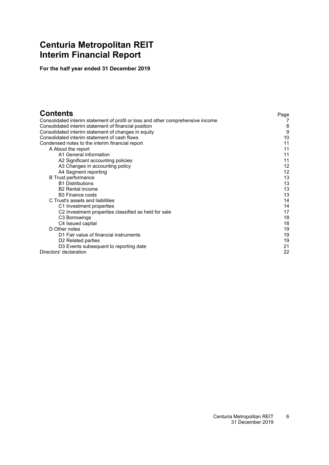# <span id="page-7-0"></span>**Centuria Metropolitan REIT Interim Financial Report**

**For the half year ended 31 December 2019**

| <b>Contents</b>                                                                 | Page |
|---------------------------------------------------------------------------------|------|
| Consolidated interim statement of profit or loss and other comprehensive income |      |
| Consolidated interim statement of financial position                            | 8    |
| Consolidated interim statement of changes in equity                             | 9    |
| Consolidated interim statement of cash flows                                    | 10   |
| Condensed notes to the interim financial report                                 | 11   |
| A About the report                                                              | 11   |
| A1 General information                                                          | 11   |
| A2 Significant accounting policies                                              | 11   |
| A3 Changes in accounting policy                                                 | 12   |
| A4 Segment reporting                                                            | 12   |
| <b>B</b> Trust performance                                                      | 13   |
| <b>B1 Distributions</b>                                                         | 13   |
| <b>B2</b> Rental income                                                         | 13   |
| <b>B3 Finance costs</b>                                                         | 13   |
| C Trust's assets and liabilities                                                | 14   |
| C1 Investment properties                                                        | 14   |
| C <sub>2</sub> Investment properties classified as held for sale                | 17   |
| C <sub>3</sub> Borrowings                                                       | 18   |
| C4 Issued capital                                                               | 18   |
| D Other notes                                                                   | 19   |
| D1 Fair value of financial instruments                                          | 19   |
| D <sub>2</sub> Related parties                                                  | 19   |
| D3 Events subsequent to reporting date                                          | 21   |
| Directors' declaration                                                          | 22   |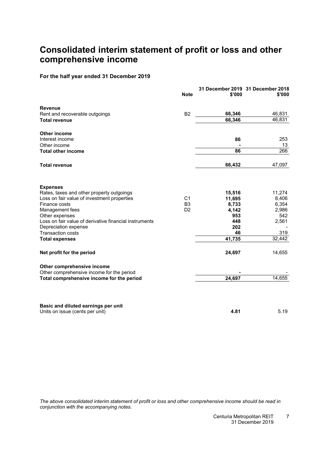# <span id="page-8-0"></span>**Consolidated interim statement of profit or loss and other comprehensive income**

#### **For the half year ended 31 December 2019**

|                                                                          | <b>Note</b>    | \$'000     | 31 December 2019 31 December 2018<br>\$'000 |
|--------------------------------------------------------------------------|----------------|------------|---------------------------------------------|
| <b>Revenue</b>                                                           |                |            |                                             |
| Rent and recoverable outgoings                                           | B <sub>2</sub> | 66,346     | 46,831                                      |
| <b>Total revenue</b>                                                     |                | 66,346     | 46,831                                      |
| <b>Other income</b>                                                      |                |            |                                             |
| Interest income                                                          |                | 86         | 253                                         |
| Other income                                                             |                |            | 13                                          |
| <b>Total other income</b>                                                |                | 86         | 266                                         |
| <b>Total revenue</b>                                                     |                | 66,432     | 47,097                                      |
| <b>Expenses</b>                                                          |                |            |                                             |
| Rates, taxes and other property outgoings                                |                | 15,516     | 11,274                                      |
| Loss on fair value of investment properties                              | C <sub>1</sub> | 11,695     | 8,406                                       |
| Finance costs                                                            | B <sub>3</sub> | 8,733      | 6,354                                       |
| Management fees                                                          | D <sub>2</sub> | 4,142      | 2,986                                       |
| Other expenses<br>Loss on fair value of derivative financial instruments |                | 953        | 542                                         |
|                                                                          |                | 448<br>202 | 2,561                                       |
| Depreciation expense<br><b>Transaction costs</b>                         |                | 46         | 319                                         |
| <b>Total expenses</b>                                                    |                | 41,735     | 32,442                                      |
| Net profit for the period                                                |                | 24,697     | 14,655                                      |
| Other comprehensive income                                               |                |            |                                             |
| Other comprehensive income for the period                                |                |            |                                             |
| Total comprehensive income for the period                                |                | 24,697     | 14,655                                      |
| Basic and diluted earnings per unit                                      |                |            |                                             |
| Units on issue (cents per unit)                                          |                | 4.81       | 5.19                                        |

The above consolidated interim statement of profit or loss and other comprehensive income should be read in *conjunction with the accompanying notes.*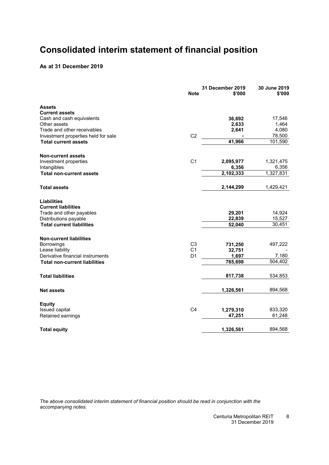# <span id="page-9-0"></span>**Consolidated interim statement of financial position**

#### **As at 31 December 2019**

|                                      | <b>Note</b>    | 31 December 2019<br>\$'000 | 30 June 2019<br>\$'000 |
|--------------------------------------|----------------|----------------------------|------------------------|
| <b>Assets</b>                        |                |                            |                        |
| <b>Current assets</b>                |                |                            |                        |
| Cash and cash equivalents            |                | 36,692                     | 17,546                 |
| Other assets                         |                | 2,633                      | 1,464                  |
| Trade and other receivables          |                | 2,641                      | 4,080                  |
| Investment properties held for sale  | C <sub>2</sub> |                            | 78,500                 |
| <b>Total current assets</b>          |                | 41.966                     | 101,590                |
| <b>Non-current assets</b>            |                |                            |                        |
| Investment properties                | C <sub>1</sub> | 2,095,977                  | 1,321,475              |
| Intangibles                          |                | 6,356                      | 6,356                  |
| <b>Total non-current assets</b>      |                | 2,102,333                  | 1,327,831              |
| <b>Total assets</b>                  |                | 2,144,299                  | 1,429,421              |
| <b>Liabilities</b>                   |                |                            |                        |
| <b>Current liabilities</b>           |                |                            |                        |
| Trade and other payables             |                | 29,201                     | 14,924                 |
| Distributions payable                |                | 22,839                     | 15,527                 |
| <b>Total current liabilities</b>     |                | 52,040                     | 30,451                 |
| <b>Non-current liabilities</b>       |                |                            |                        |
| <b>Borrowings</b>                    | C <sub>3</sub> | 731,250                    | 497,222                |
| Lease liability                      | C <sub>1</sub> | 32,751                     |                        |
| Derivative financial instruments     | D <sub>1</sub> | 1,697                      | 7,180                  |
| <b>Total non-current liabilities</b> |                | 765,698                    | 504,402                |
| <b>Total liabilities</b>             |                | 817,738                    | 534,853                |
| <b>Net assets</b>                    |                | 1,326,561                  | 894,568                |
| <b>Equity</b>                        |                |                            |                        |
| <b>Issued capital</b>                | C <sub>4</sub> | 1,279,310                  | 833,320                |
| Retained earnings                    |                | 47,251                     | 61,248                 |
| <b>Total equity</b>                  |                | 1,326,561                  | 894,568                |

*The above consolidated interim statement of financial position should be read in conjunction with the accompanying notes.*

> Centuria Metropolitan REIT 31 December 2019 8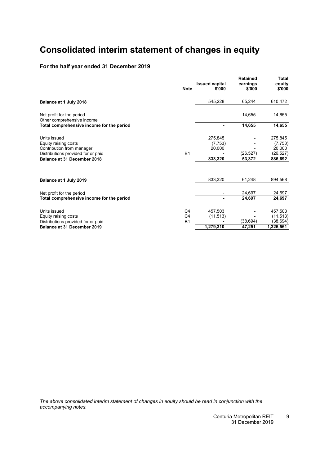# <span id="page-10-0"></span>**Consolidated interim statement of changes in equity**

### **For the half year ended 31 December 2019**

|                                                                         | <b>Note</b>    | <b>Issued capital</b><br>\$'000 | <b>Retained</b><br>earnings<br>\$'000 | Total<br>equity<br>\$'000 |
|-------------------------------------------------------------------------|----------------|---------------------------------|---------------------------------------|---------------------------|
| Balance at 1 July 2018                                                  |                | 545,228                         | 65,244                                | 610,472                   |
| Net profit for the period                                               |                |                                 | 14,655                                | 14,655                    |
| Other comprehensive income<br>Total comprehensive income for the period |                |                                 | 14,655                                | 14,655                    |
| Units issued                                                            |                | 275,845                         |                                       | 275,845                   |
| Equity raising costs                                                    |                | (7, 753)                        |                                       | (7, 753)                  |
| Contribution from manager                                               |                | 20,000                          | (26, 527)                             | 20,000                    |
| Distributions provided for or paid<br>Balance at 31 December 2018       | <b>B1</b>      | 833,320                         | 53,372                                | (26, 527)<br>886,692      |
|                                                                         |                |                                 |                                       |                           |
| Balance at 1 July 2019                                                  |                | 833,320                         | 61,248                                | 894,568                   |
| Net profit for the period                                               |                |                                 | 24,697                                | 24,697                    |
| Total comprehensive income for the period                               |                |                                 | 24,697                                | 24,697                    |
| Units issued                                                            | C <sub>4</sub> | 457.503                         |                                       | 457,503                   |
| Equity raising costs                                                    | C <sub>4</sub> | (11, 513)                       |                                       | (11, 513)                 |
| Distributions provided for or paid                                      | <b>B1</b>      |                                 | (38, 694)                             | (38,694)                  |
| <b>Balance at 31 December 2019</b>                                      |                | 1,279,310                       | 47,251                                | 1,326,561                 |

*The above consolidated interim statement of changes in equity should be read in conjunction with the accompanying notes.*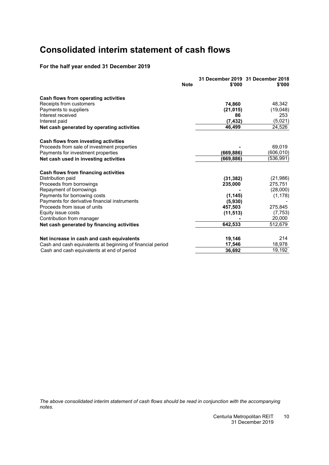# <span id="page-11-0"></span>**Consolidated interim statement of cash flows**

### **For the half year ended 31 December 2019**

| <b>Note</b>                                                | \$'000    | 31 December 2019 31 December 2018<br>\$'000 |
|------------------------------------------------------------|-----------|---------------------------------------------|
| Cash flows from operating activities                       |           |                                             |
| Receipts from customers                                    | 74.860    | 48,342                                      |
| Payments to suppliers                                      | (21, 015) | (19,048)                                    |
| Interest received                                          | 86        | 253                                         |
| Interest paid                                              | (7, 432)  | (5,021)                                     |
| Net cash generated by operating activities                 | 46,499    | 24,526                                      |
| Cash flows from investing activities                       |           |                                             |
| Proceeds from sale of investment properties                |           | 69,019                                      |
| Payments for investment properties                         | (669,886) | (606, 010)                                  |
| Net cash used in investing activities                      | (669,886) | (536, 991)                                  |
| Cash flows from financing activities                       |           |                                             |
| Distribution paid                                          | (31, 382) | (21, 986)                                   |
| Proceeds from borrowings                                   | 235,000   | 275,751                                     |
| Repayment of borrowings                                    |           | (28,000)                                    |
| Payments for borrowing costs                               | (1, 145)  | (1, 178)                                    |
| Payments for derivative financial instruments              | (5,930)   |                                             |
| Proceeds from issue of units                               | 457,503   | 275,845                                     |
| Equity issue costs                                         | (11, 513) | (7, 753)                                    |
| Contribution from manager                                  |           | 20,000                                      |
| Net cash generated by financing activities                 | 642,533   | 512,679                                     |
| Net increase in cash and cash equivalents                  | 19,146    | 214                                         |
| Cash and cash equivalents at beginning of financial period | 17,546    | 18,978                                      |
| Cash and cash equivalents at end of period                 | 36,692    | 19,192                                      |

*The above consolidated interim statement of cash flows should be read in conjunction with the accompanying notes.*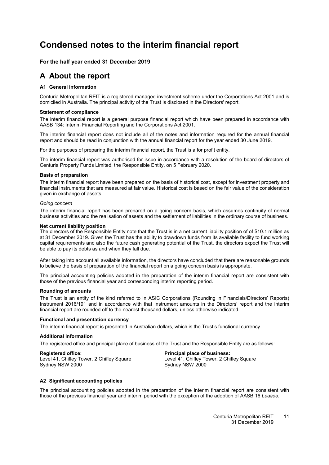# <span id="page-12-4"></span><span id="page-12-0"></span>**Condensed notes to the interim financial report**

#### <span id="page-12-1"></span>**For the half year ended 31 December 2019**

### <span id="page-12-2"></span>**A About the report**

#### **[A1](#page-12-2) General information**

Centuria Metropolitan REIT is a registered managed investment scheme under the Corporations Act 2001 and is domiciled in Australia. The principal activity of the Trust is disclosed in the Directors' report.

#### **Statement of compliance**

The interim financial report is a general purpose financial report which have been prepared in accordance with AASB 134: Interim Financial Reporting and the Corporations Act 2001.

The interim financial report does not include all of the notes and information required for the annual financial report and should be read in conjunction with the annual financial report for the year ended 30 June 2019.

For the purposes of preparing the interim financial report, the Trust is a for profit entity.

The interim financial report was authorised for issue in accordance with a resolution of the board of directors of Centuria Property Funds Limited, the Responsible Entity, on 5 February 2020.

#### **Basis of preparation**

The interim financial report have been prepared on the basis of historical cost, except for investment property and financial instruments that are measured at fair value. Historical cost is based on the fair value of the consideration given in exchange of assets.

#### *Going concern*

The interim financial report has been prepared on a going concern basis, which assumes continuity of normal business activities and the realisation of assets and the settlement of liabilities in the ordinary course of business.

#### **Net current liability position**

The directors of the Responsible Entity note that the Trust is in a net current liability position of of \$10.1 million as at 31 December 2019. Given the Trust has the ability to drawdown funds from its available facility to fund working capital requirements and also the future cash generating potential of the Trust, the directors expect the Trust will be able to pay its debts as and when they fall due.

After taking into account all available information, the directors have concluded that there are reasonable grounds to believe the basis of preparation of the financial report on a going concern basis is appropriate.

The principal accounting policies adopted in the preparation of the interim financial report are consistent with those of the previous financial year and corresponding interim reporting period.

#### **Rounding of amounts**

The Trust is an entity of the kind referred to in ASIC Corporations (Rounding in Financials/Directors' Reports) Instrument 2016/191 and in accordance with that Instrument amounts in the Directors' report and the interim financial report are rounded off to the nearest thousand dollars, unless otherwise indicated.

#### **Functional and presentation currency**

The interim financial report is presented in Australian dollars, which is the Trust's functional currency.

#### **Additional information**

The registered office and principal place of business of the Trust and the Responsible Entity are as follows:

<span id="page-12-3"></span>**Registered office: Principal place of business:** Level 41, Chifley Tower, 2 Chifley Square Level 41, Chifley To<br>Sydney NSW 2000 Sydney NSW 2000 Sydney NSW 2000

#### **[A2](#page-12-3) Significant accounting policies**

The principal accounting policies adopted in the preparation of the interim financial report are consistent with those of the previous financial year and interim period with the exception of the adoption of AASB 16 *Leases*.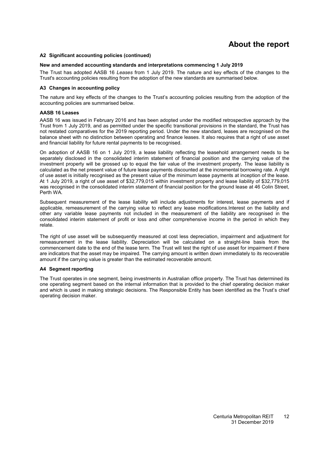# **About the report**

#### <span id="page-13-2"></span>**[A2](#page-12-3) Significant accounting policies (continued)**

#### **New and amended accounting standards and interpretations commencing 1 July 2019**

<span id="page-13-0"></span>The Trust has adopted AASB 16 *Leases* from 1 July 2019. The nature and key effects of the changes to the Trust's accounting policies resulting from the adoption of the new standards are summarised below.

#### **[A3](#page-13-0) Changes in accounting policy**

The nature and key effects of the changes to the Trust's accounting policies resulting from the adoption of the accounting policies are summarised below.

#### **AASB 16 Leases**

AASB 16 was issued in February 2016 and has been adopted under the modified retrospective approach by the Trust from 1 July 2019, and as permitted under the specific transitional provisions in the standard, the Trust has not restated comparatives for the 2019 reporting period. Under the new standard, leases are recognised on the balance sheet with no distinction between operating and finance leases. It also requires that a right of use asset and financial liability for future rental payments to be recognised.

On adoption of AASB 16 on 1 July 2019, a lease liability reflecting the leasehold arrangement needs to be separately disclosed in the consolidated interim statement of financial position and the carrying value of the investment property will be grossed up to equal the fair value of the investment property. The lease liability is calculated as the net present value of future lease payments discounted at the incremental borrowing rate. A right of use asset is initially recognised as the present value of the minimum lease payments at inception of the lease. At 1 July 2019, a right of use asset of \$32,779,015 within investment property and lease liability of \$32,779,015 was recognised in the consolidated interim statement of financial position for the ground lease at 46 Colin Street, Perth WA.

Subsequent measurement of the lease liability will include adjustments for interest, lease payments and if applicable, remeasurement of the carrying value to reflect any lease modifications.Interest on the liability and other any variable lease payments not included in the measurement of the liability are recognised in the consolidated interim statement of profit or loss and other comprehensive income in the period in which they relate.

The right of use asset will be subsequently measured at cost less depreciation, impairment and adjustment for remeasurement in the lease liability. Depreciation will be calculated on a straight-line basis from the commencement date to the end of the lease term. The Trust will test the right of use asset for impairment if there are indicators that the asset may be impaired. The carrying amount is written down immediately to its recoverable amount if the carrying value is greater than the estimated recoverable amount.

#### <span id="page-13-1"></span>**[A4](#page-13-1) Segment reporting**

The Trust operates in one segment, being investments in Australian office property. The Trust has determined its one operating segment based on the internal information that is provided to the chief operating decision maker and which is used in making strategic decisions. The Responsible Entity has been identified as the Trust's chief operating decision maker.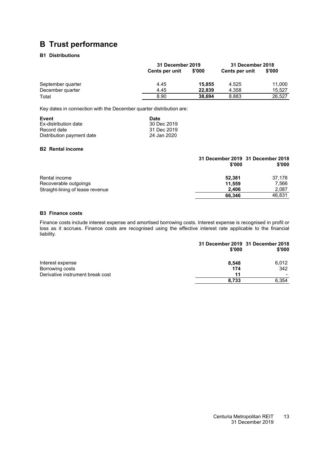# <span id="page-14-1"></span><span id="page-14-0"></span>**B Trust performance**

### **[B1](#page-14-1) Distributions**

|                   | 31 December 2019 |        | 31 December 2018 |        |
|-------------------|------------------|--------|------------------|--------|
|                   | Cents per unit   | \$'000 | Cents per unit   | \$'000 |
| September quarter | 4.45             | 15,855 | 4.525            | 11,000 |
| December quarter  | 4.45             | 22.839 | 4.358            | 15.527 |
| Total             | 8.90             | 38.694 | 8.883            | 26,527 |

Key dates in connection with the December quarter distribution are:

| Event                     | Date        |
|---------------------------|-------------|
| Ex-distribution date      | 30 Dec 2019 |
| Record date               | 31 Dec 2019 |
| Distribution payment date | 24 Jan 2020 |

#### <span id="page-14-2"></span>**[B2](#page-14-2) Rental income**

|                                  | \$'000 | 31 December 2019 31 December 2018<br>\$'000 |
|----------------------------------|--------|---------------------------------------------|
| Rental income                    | 52.381 | 37.178                                      |
| Recoverable outgoings            | 11.559 | 7,566                                       |
| Straight-lining of lease revenue | 2.406  | 2,087                                       |
|                                  | 66.346 | 46.831                                      |

#### <span id="page-14-3"></span>**[B3](#page-14-3) Finance costs**

Finance costs include interest expense and amortised borrowing costs. Interest expense is recognised in profit or loss as it accrues. Finance costs are recognised using the effective interest rate applicable to the financial liability.

|                                  | 31 December 2019 31 December 2018<br>\$'000 | \$'000 |
|----------------------------------|---------------------------------------------|--------|
| Interest expense                 | 8.548                                       | 6.012  |
| Borrowing costs                  | 174                                         | 342    |
| Derivative instrument break cost | 11                                          |        |
|                                  | 8.733                                       | 6.354  |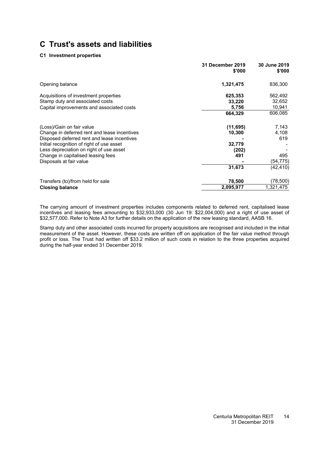#### **[C1](#page-12-0) Investment properties**

|                                                                                                                                                                       | 31 December 2019<br>\$'000    | 30 June 2019<br>\$'000       |
|-----------------------------------------------------------------------------------------------------------------------------------------------------------------------|-------------------------------|------------------------------|
| Opening balance                                                                                                                                                       | 1,321,475                     | 836,300                      |
| Acquisitions of investment properties<br>Stamp duty and associated costs                                                                                              | 625,353<br>33,220             | 562,492<br>32,652            |
| Capital improvements and associated costs                                                                                                                             | 5,756<br>664,329              | 10,941<br>606,085            |
| (Loss)/Gain on fair value<br>Change in deferred rent and lease incentives<br>Disposed deferred rent and lease incentives<br>Initial recognition of right of use asset | (11, 695)<br>10,300<br>32,779 | 7,143<br>4,108<br>619        |
| Less depreciation on right of use asset<br>Change in capitalised leasing fees<br>Disposals at fair value                                                              | (202)<br>491<br>31,673        | 495<br>(54,775)<br>(42, 410) |
| Transfers (to)/from held for sale<br><b>Closing balance</b>                                                                                                           | 78,500<br>2,095,977           | (78,500)<br>1,321,475        |

The carrying amount of investment properties includes components related to deferred rent, capitalised lease incentives and leasing fees amounting to \$32,933,000 (30 Jun 19: \$22,004,000) and a right of use asset of \$32,577,000. Refer to Note [A3](#page-13-0) for further details on the application of the new leasing standard, AASB 16.

Stamp duty and other associated costs incurred for property acquisitions are recognised and included in the initial measurement of the asset. However, these costs are written off on application of the fair value method through profit or loss. The Trust had written off \$33.2 million of such costs in relation to the three properties acquired during the half-year ended 31 December 2019.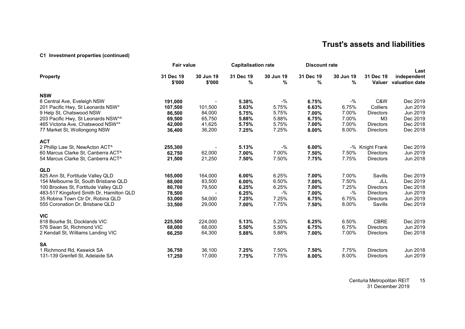#### **[C1](#page-12-4) Investment properties (continued)**

|                                          | <b>Fair value</b>   |                     | <b>Capitalisation rate</b> |                | <b>Discount rate</b> |                |                     |                                       |
|------------------------------------------|---------------------|---------------------|----------------------------|----------------|----------------------|----------------|---------------------|---------------------------------------|
| <b>Property</b>                          | 31 Dec 19<br>\$'000 | 30 Jun 19<br>\$'000 | 31 Dec 19<br>%             | 30 Jun 19<br>% | 31 Dec 19<br>%       | 30 Jun 19<br>% | 31 Dec 19<br>Valuer | Last<br>independent<br>valuation date |
| <b>NSW</b>                               |                     |                     |                            |                |                      |                |                     |                                       |
| 8 Central Ave, Eveleigh NSW              | 191,000             |                     | 5.38%                      | $-$ %          | 6.75%                | $-$ %          | C&W                 | Dec 2019                              |
| 201 Pacific Hwy, St Leonards NSW*        | 107,500             | 101,500             | 5.63%                      | 5.75%          | 6.63%                | 6.75%          | Colliers            | Jun 2019                              |
| 9 Help St, Chatswood NSW                 | 86,500              | 84,000              | 5.75%                      | 5.75%          | 7.00%                | 7.00%          | <b>Directors</b>    | Jun 2019                              |
| 203 Pacific Hwy, St Leonards NSW*^       | 69,500              | 65,750              | 5.88%                      | 5.88%          | 6.75%                | 7.00%          | M <sub>3</sub>      | Dec 2019                              |
| 465 Victoria Ave, Chatswood NSW**        | 42,000              | 41,625              | 5.75%                      | 5.75%          | 7.00%                | 7.00%          | <b>Directors</b>    | Dec 2018                              |
| 77 Market St, Wollongong NSW             | 36,400              | 36,200              | 7.25%                      | 7.25%          | 8.00%                | 8.00%          | <b>Directors</b>    | Dec 2018                              |
| <b>ACT</b>                               |                     |                     |                            |                |                      |                |                     |                                       |
| 2 Phillip Law St, NewActon ACT^          | 255,300             |                     | 5.13%                      | $-$ %          | 6.00%                |                | -% Knight Frank     | Dec 2019                              |
| 60 Marcus Clarke St, Canberra ACT^       | 62,750              | 62,000              | 7.00%                      | 7.00%          | 7.50%                | 7.50%          | <b>Directors</b>    | Jun 2019                              |
| 54 Marcus Clarke St, Canberra ACT^       | 21,500              | 21,250              | 7.50%                      | 7.50%          | 7.75%                | 7.75%          | <b>Directors</b>    | Jun 2018                              |
| <b>QLD</b>                               |                     |                     |                            |                |                      |                |                     |                                       |
| 825 Ann St, Fortitude Valley QLD         | 165,000             | 164,000             | 6.00%                      | 6.25%          | 7.00%                | 7.00%          | Savills             | Dec 2019                              |
| 154 Melbourne St, South Brisbane QLD     | 88,000              | 83,500              | 6.00%                      | 6.50%          | 7.00%                | 7.50%          | JLL                 | Dec 2019                              |
| 100 Brookes St, Fortitude Valley QLD     | 80,700              | 79,500              | 6.25%                      | 6.25%          | 7.00%                | 7.25%          | <b>Directors</b>    | Dec 2018                              |
| 483-517 Kingsford Smith Dr, Hamilton QLD | 78,500              |                     | 6.25%                      | $-$ %          | 7.00%                | $-$ %          | <b>Directors</b>    | Jun 2019                              |
| 35 Robina Town Ctr Dr, Robina QLD        | 53,000              | 54,000              | 7.25%                      | 7.25%          | 6.75%                | 6.75%          | <b>Directors</b>    | Jun 2019                              |
| 555 Coronation Dr. Brisbane QLD          | 33,500              | 29,000              | 7.00%                      | 7.75%          | 7.50%                | 8.00%          | Savills             | Dec 2019                              |
| <b>VIC</b>                               |                     |                     |                            |                |                      |                |                     |                                       |
| 818 Bourke St, Docklands VIC             | 225,500             | 224,000             | 5.13%                      | 5.25%          | 6.25%                | 6.50%          | <b>CBRE</b>         | Dec 2019                              |
| 576 Swan St, Richmond VIC                | 68,000              | 68,000              | 5.50%                      | 5.50%          | 6.75%                | 6.75%          | <b>Directors</b>    | Jun 2019                              |
| 2 Kendall St, Williams Landing VIC       | 66,250              | 64,300              | 5.88%                      | 5.88%          | 7.00%                | 7.00%          | <b>Directors</b>    | Dec 2018                              |
| <b>SA</b>                                |                     |                     |                            |                |                      |                |                     |                                       |
| 1 Richmond Rd, Keswick SA                | 36,750              | 36,100              | 7.25%                      | 7.50%          | 7.50%                | 7.75%          | <b>Directors</b>    | Jun 2018                              |
| 131-139 Grenfell St, Adelaide SA         | 17,250              | 17,000              | 7.75%                      | 7.75%          | 8.00%                | 8.00%          | <b>Directors</b>    | Jun 2019                              |

Centuria Metropolitan REIT 31 December 2019 15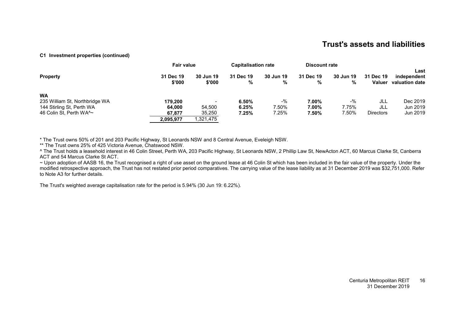#### **[C1](#page-12-4) Investment properties (continued)**

|                                             | <b>Fair value</b>   |                          | <b>Capitalisation rate</b> |                | <b>Discount rate</b> |                |                            |                                       |
|---------------------------------------------|---------------------|--------------------------|----------------------------|----------------|----------------------|----------------|----------------------------|---------------------------------------|
| <b>Property</b>                             | 31 Dec 19<br>\$'000 | 30 Jun 19<br>\$'000      | 31 Dec 19<br>%             | 30 Jun 19<br>% | 31 Dec 19<br>%       | 30 Jun 19<br>% | 31 Dec 19<br><b>Valuer</b> | Last<br>independent<br>valuation date |
| <b>WA</b><br>235 William St, Northbridge WA | 179.200             | $\overline{\phantom{0}}$ | 6.50%                      | $-$ %          | 7.00%                | $-$ %          | JLL                        | Dec 2019                              |
| 144 Stirling St, Perth WA                   | 64.000              | 54.500                   | 6.25%                      | 7.50%          | 7.00%                | 7.75%          | JLL                        | Jun 2019                              |
| 46 Colin St, Perth WA^~                     | 67.877              | 35,250                   | 7.25%                      | 7.25%          | 7.50%                | 7.50%          | <b>Directors</b>           | Jun 2019                              |
|                                             | 2.095.977           | 1,321,475                |                            |                |                      |                |                            |                                       |

\* The Trust owns 50% of 201 and 203 Pacific Highway, St Leonards NSW and 8 Central Avenue, Eveleigh NSW.

\*\* The Trust owns 25% of 425 Victoria Avenue, Chatswood NSW.

^ The Trust holds a leasehold interest in 46 Colin Street, Perth WA, 203 Pacific Highway, St Leonards NSW, 2 Phillip Law St, NewActon ACT, 60 Marcus Clarke St, Canberra ACT and 54 Marcus Clarke St ACT.

~ Upon adoption of AASB 16, the Trust recognised a right of use asset on the ground lease at 46 Colin St which has been included in the fair value of the property. Under the modified retrospective approach, the Trust has not restated prior period comparatives. The carrying value of the lease liability as at 31 December 2019 was \$32,751,000. Refer to Note [A3](#page-13-2) for further details.

The Trust's weighted average capitalisation rate for the period is 5.94% (30 Jun 19: 6.22%).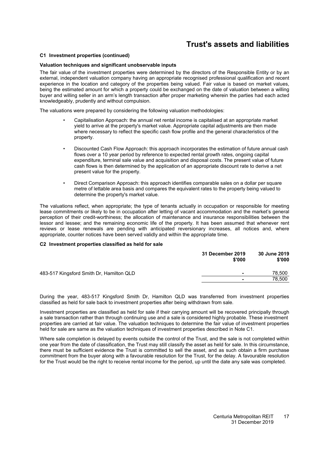#### **[C1](#page-12-0) Investment properties (continued)**

#### **Valuation techniques and significant unobservable inputs**

The fair value of the investment properties were determined by the directors of the Responsible Entity or by an external, independent valuation company having an appropriate recognised professional qualification and recent experience in the location and category of the properties being valued. Fair value is based on market values, being the estimated amount for which a property could be exchanged on the date of valuation between a willing buyer and willing seller in an arm's length transaction after proper marketing wherein the parties had each acted knowledgeably, prudently and without compulsion.

The valuations were prepared by considering the following valuation methodologies:

- Capitalisation Approach: the annual net rental income is capitalised at an appropriate market yield to arrive at the property's market value. Appropriate capital adjustments are then made where necessary to reflect the specific cash flow profile and the general characteristics of the property.
- Discounted Cash Flow Approach: this approach incorporates the estimation of future annual cash flows over a 10 year period by reference to expected rental growth rates, ongoing capital expenditure, terminal sale value and acquisition and disposal costs. The present value of future cash flows is then determined by the application of an appropriate discount rate to derive a net present value for the property.
- Direct Comparison Approach: this approach identifies comparable sales on a dollar per square metre of lettable area basis and compares the equivalent rates to the property being valued to determine the property's market value.

The valuations reflect, when appropriate; the type of tenants actually in occupation or responsible for meeting lease commitments or likely to be in occupation after letting of vacant accommodation and the market's general perception of their credit-worthiness; the allocation of maintenance and insurance responsibilities between the lessor and lessee; and the remaining economic life of the property. It has been assumed that whenever rent reviews or lease renewals are pending with anticipated reversionary increases, all notices and, where appropriate, counter notices have been served validly and within the appropriate time.

#### <span id="page-18-0"></span>**[C2](#page-18-0) Investment properties classified as held for sale**

| 31 December 2019<br>\$'000 | 30 June 2019<br>\$'000 |
|----------------------------|------------------------|
| $\overline{\phantom{a}}$   | 78,500                 |
| $\overline{\phantom{a}}$   | 78,500                 |
|                            |                        |

During the year, 483-517 Kingsford Smith Dr, Hamilton QLD was transferred from investment properties classified as held for sale back to investment properties after being withdrawn from sale.

Investment properties are classified as held for sale if their carrying amount will be recovered principally through a sale transaction rather than through continuing use and a sale is considered highly probable. These investment properties are carried at fair value. The valuation techniques to determine the fair value of investment properties held for sale are same as the valuation techniques of investment properties described in Note [C1.](#page-12-0)

Where sale completion is delayed by events outside the control of the Trust, and the sale is not completed within one year from the date of classification, the Trust may still classify the asset as held for sale. In this circumstance, there must be sufficient evidence the Trust is committed to sell the asset, and as such obtain a firm purchase commitment from the buyer along with a favourable resolution for the Trust, for the delay. A favourable resolution for the Trust would be the right to receive rental income for the period, up until the date any sale was completed.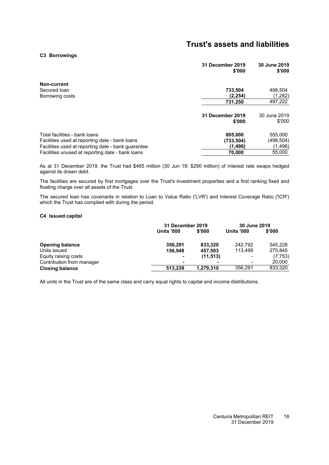#### <span id="page-19-0"></span>**[C3](#page-19-0) Borrowings**

|                                                    | 31 December 2019<br>\$'000 | 30 June 2019<br>\$'000 |
|----------------------------------------------------|----------------------------|------------------------|
| Non-current                                        |                            |                        |
| Secured Ioan                                       | 733,504                    | 498,504                |
| Borrowing costs                                    | (2, 254)                   | (1,282)                |
|                                                    | 731,250                    | 497,222                |
|                                                    | 31 December 2019<br>\$'000 | 30 June 2019<br>\$'000 |
| Total facilities - bank loans                      | 805,000                    | 555,000                |
| Facilities used at reporting date - bank loans     | (733, 504)                 | (498,504)              |
| Facilities used at reporting date - bank guarantee | (1, 496)                   | (1, 496)               |
| Facilities unused at reporting date - bank loans   | 70,000                     | 55,000                 |
|                                                    |                            |                        |

As at 31 December 2019, the Trust had \$465 million (30 Jun 19: \$290 million) of interest rate swaps hedged against its drawn debt.

The facilities are secured by first mortgages over the Trust's investment properties and a first ranking fixed and floating charge over all assets of the Trust.

<span id="page-19-1"></span>The secured loan has covenants in relation to Loan to Value Ratio ('LVR') and Interest Coverage Ratio ('ICR') which the Trust has complied with during the period.

#### **[C4](#page-19-1) Issued capital**

|                           | 31 December 2019  |           | 30 June 2019      |          |
|---------------------------|-------------------|-----------|-------------------|----------|
|                           | <b>Units '000</b> | \$'000    | <b>Units '000</b> | \$'000   |
| <b>Opening balance</b>    | 356.291           | 833.320   | 242.792           | 545,228  |
| Units issued              | 156.948           | 457.503   | 113.499           | 275,845  |
| Equity raising costs      |                   | (11, 513) | $\qquad \qquad$   | (7, 753) |
| Contribution from manager | -                 |           | ۰                 | 20,000   |
| <b>Closing balance</b>    | 513.239           | 1,279,310 | 356,291           | 833,320  |

All units in the Trust are of the same class and carry equal rights to capital and income distributions.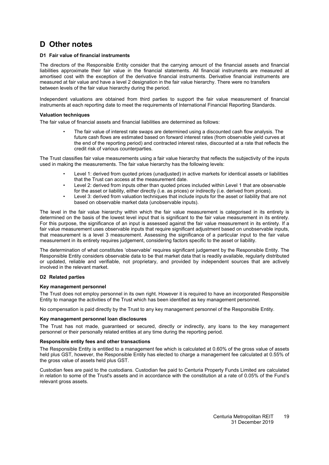# <span id="page-20-1"></span><span id="page-20-0"></span>**D Other notes**

#### **[D1](#page-20-1) Fair value of financial instruments**

The directors of the Responsible Entity consider that the carrying amount of the financial assets and financial liabilities approximate their fair value in the financial statements. All financial instruments are measured at amortised cost with the exception of the derivative financial instruments. Derivative financial instruments are measured at fair value and have a level 2 designation in the fair value hierarchy. There were no transfers between levels of the fair value hierarchy during the period.

Independent valuations are obtained from third parties to support the fair value measurement of financial instruments at each reporting date to meet the requirements of International Financial Reporting Standards.

#### **Valuation techniques**

The fair value of financial assets and financial liabilities are determined as follows:

• The fair value of interest rate swaps are determined using a discounted cash flow analysis. The future cash flows are estimated based on forward interest rates (from observable yield curves at the end of the reporting period) and contracted interest rates, discounted at a rate that reflects the credit risk of various counterparties.

The Trust classifies fair value measurements using a fair value hierarchy that reflects the subjectivity of the inputs used in making the measurements. The fair value hierarchy has the following levels:

- Level 1: derived from quoted prices (unadjusted) in active markets for identical assets or liabilities that the Trust can access at the measurement date.
- Level 2: derived from inputs other than quoted prices included within Level 1 that are observable for the asset or liability, either directly (i.e. as prices) or indirectly (i.e. derived from prices).
- Level 3: derived from valuation techniques that include inputs for the asset or liability that are not based on observable market data (unobservable inputs).

The level in the fair value hierarchy within which the fair value measurement is categorised in its entirety is determined on the basis of the lowest level input that is significant to the fair value measurement in its entirety. For this purpose, the significance of an input is assessed against the fair value measurement in its entirety. If a fair value measurement uses observable inputs that require significant adjustment based on unobservable inputs, that measurement is a level 3 measurement. Assessing the significance of a particular input to the fair value measurement in its entirety requires judgement, considering factors specific to the asset or liability.

The determination of what constitutes 'observable' requires significant judgement by the Responsible Entity. The Responsible Entity considers observable data to be that market data that is readily available, regularly distributed or updated, reliable and verifiable, not proprietary, and provided by independent sources that are actively involved in the relevant market.

#### <span id="page-20-2"></span>**[D2](#page-20-2) Related parties**

#### **Key management personnel**

The Trust does not employ personnel in its own right. However it is required to have an incorporated Responsible Entity to manage the activities of the Trust which has been identified as key management personnel.

No compensation is paid directly by the Trust to any key management personnel of the Responsible Entity.

#### **Key management personnel loan disclosures**

The Trust has not made, guaranteed or secured, directly or indirectly, any loans to the key management personnel or their personally related entities at any time during the reporting period.

#### **Responsible entity fees and other transactions**

The Responsible Entity is entitled to a management fee which is calculated at 0.60% of the gross value of assets held plus GST, however, the Responsible Entity has elected to charge a management fee calculated at 0.55% of the gross value of assets held plus GST.

Custodian fees are paid to the custodians. Custodian fee paid to Centuria Property Funds Limited are calculated in relation to some of the Trust's assets and in accordance with the constitution at a rate of 0.05% of the Fund's relevant gross assets.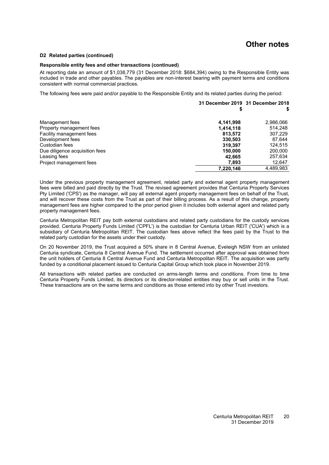### **Other notes**

#### **[D2](#page-21-0) Related parties (continued)**

#### **Responsible entity fees and other transactions (continued)**

At reporting date an amount of \$1,038,779 (31 December 2018: \$684,394) owing to the Responsible Entity was included in trade and other payables. The payables are non-interest bearing with payment terms and conditions consistent with normal commercial practices.

The following fees were paid and/or payable to the Responsible Entity and its related parties during the period:

|                                |           | 31 December 2019 31 December 2018 |
|--------------------------------|-----------|-----------------------------------|
| Management fees                | 4,141,998 | 2,986,066                         |
| Property management fees       | 1,414,118 | 514,248                           |
| Facility management fees       | 813,572   | 307,229                           |
| Development fees               | 330,503   | 87,644                            |
| Custodian fees                 | 319,397   | 124,515                           |
| Due diligence acquisition fees | 150,000   | 200,000                           |
| Leasing fees                   | 42,665    | 257,634                           |
| Project management fees        | 7,893     | 12,647                            |
|                                | 7,220,146 | 4.489.983                         |

Under the previous property management agreement, related party and external agent property management fees were billed and paid directly by the Trust. The revised agreement provides that Centuria Property Services Pty Limited ('CPS') as the manager, will pay all external agent property management fees on behalf of the Trust, and will recover these costs from the Trust as part of their billing process. As a result of this change, property management fees are higher compared to the prior period given it includes both external agent and related party property management fees.

Centuria Metropolitan REIT pay both external custodians and related party custodians for the custody services provided. Centuria Property Funds Limited ('CPFL') is the custodian for Centuria Urban REIT ('CUA') which is a subsidiary of Centuria Metropolitan REIT. The custodian fees above reflect the fees paid by the Trust to the related party custodian for the assets under their custody.

On 20 November 2019, the Trust acquired a 50% share in 8 Central Avenue, Eveleigh NSW from an unlisted Centuria syndicate, Centuria 8 Central Avenue Fund. The settlement occurred after approval was obtained from the unit holders of Centuria 8 Central Avenue Fund and Centuria Metropolitan REIT. The acquisition was partly funded by a conditional placement issued to Centuria Capital Group which took place in November 2019.

<span id="page-21-0"></span>All transactions with related parties are conducted on arms-length terms and conditions. From time to time Centuria Property Funds Limited, its directors or its director-related entities may buy or sell units in the Trust. These transactions are on the same terms and conditions as those entered into by other Trust investors.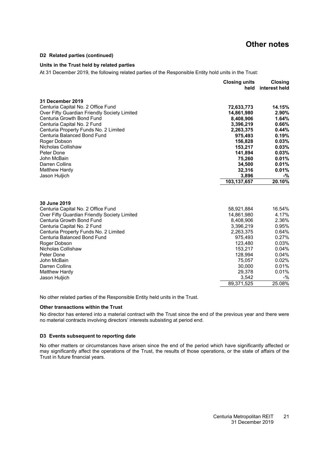#### **[D2](#page-20-2) Related parties (continued)**

#### **Units in the Trust held by related parties**

At 31 December 2019, the following related parties of the Responsible Entity hold units in the Trust:

|                                                                                    | <b>Closing units</b><br>held | <b>Closing</b><br>interest held |
|------------------------------------------------------------------------------------|------------------------------|---------------------------------|
| 31 December 2019                                                                   |                              |                                 |
| Centuria Capital No. 2 Office Fund<br>Over Fifty Guardian Friendly Society Limited | 72,633,773<br>14,861,980     | 14.15%<br>2.90%                 |
| Centuria Growth Bond Fund                                                          | 8,408,906                    | 1.64%                           |
| Centuria Capital No. 2 Fund                                                        | 3,396,219                    | 0.66%                           |
| Centuria Property Funds No. 2 Limited                                              | 2,263,375                    | 0.44%                           |
| Centuria Balanced Bond Fund                                                        | 975,493                      | 0.19%                           |
| Roger Dobson                                                                       | 156,828                      | 0.03%                           |
| Nicholas Collishaw                                                                 | 153,217                      | 0.03%                           |
| Peter Done                                                                         | 141,894                      | 0.03%                           |
| John McBain                                                                        | 75,260                       | 0.01%                           |
| Darren Collins                                                                     | 34,500                       | 0.01%                           |
| <b>Matthew Hardy</b>                                                               | 32,316                       | 0.01%                           |
| Jason Huljich                                                                      | 3,896                        | -%                              |
|                                                                                    | 103,137,657                  | 20.10%                          |
| 30 June 2019                                                                       |                              |                                 |
| Centuria Capital No. 2 Office Fund                                                 | 58,921,884                   | 16.54%                          |
| Over Fifty Guardian Friendly Society Limited                                       | 14,861,980                   | 4.17%                           |
| Centuria Growth Bond Fund                                                          | 8,408,906                    | 2.36%                           |
| Centuria Capital No. 2 Fund                                                        | 3,396,219                    | 0.95%                           |
| Centuria Property Funds No. 2 Limited                                              | 2,263,375                    | 0.64%                           |
| Centuria Balanced Bond Fund                                                        | 975,493                      | 0.27%                           |
| Roger Dobson                                                                       | 123,480                      | 0.03%                           |
| Nicholas Collishaw                                                                 | 153,217                      | 0.04%                           |
| Peter Done                                                                         | 128,994                      | 0.04%                           |
| John McBain                                                                        | 75,057                       | 0.02%                           |
| Darren Collins                                                                     | 30,000                       | 0.01%                           |
| Matthew Hardy                                                                      | 29,378                       | 0.01%                           |
| Jason Huljich                                                                      | 3,542                        | $-$ %                           |
|                                                                                    | 89,371,525                   | 25.08%                          |

No other related parties of the Responsible Entity held units in the Trust.

#### **Other transactions within the Trust**

<span id="page-22-0"></span>No director has entered into a material contract with the Trust since the end of the previous year and there were no material contracts involving directors' interests subsisting at period end.

#### **[D3](#page-22-0) Events subsequent to reporting date**

No other matters or circumstances have arisen since the end of the period which have significantly affected or may significantly affect the operations of the Trust, the results of those operations, or the state of affairs of the Trust in future financial years.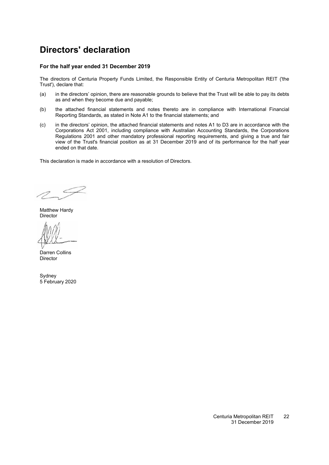# <span id="page-23-0"></span>**Directors' declaration**

#### **For the half year ended 31 December 2019**

The directors of Centuria Property Funds Limited, the Responsible Entity of Centuria Metropolitan REIT ('the Trust'), declare that:

- (a) in the directors' opinion, there are reasonable grounds to believe that the Trust will be able to pay its debts as and when they become due and payable;
- (b) the attached financial statements and notes thereto are in compliance with International Financial Reporting Standards, as stated in Note [A1](#page-12-2) to the financial statements; and
- (c) in the directors' opinion, the attached financial statements and notes [A1](#page-12-2) to D3 are in accordance with the Corporations Act 2001, including compliance with Australian Accounting Standards, the Corporations Regulations 2001 and other mandatory professional reporting requirements, and giving a true and fair view of the Trust's financial position as at 31 December 2019 and of its performance for the half year ended on that date.

This declaration is made in accordance with a resolution of Directors.

Matthew Hardy Director

Darren Collins Director

**Sydney** 5 February 2020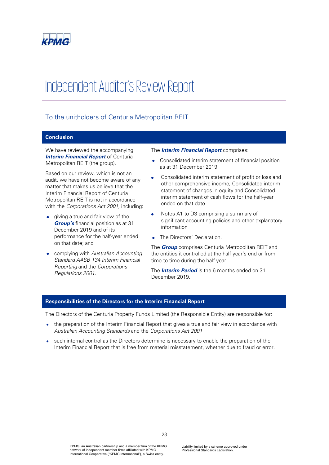

# Independent Auditor's Review Report

### To the unitholders of Centuria Metropolitan REIT

#### **Conclusion**

We have reviewed the accompanying **Interim Financial Report of Centuria** Metropolitan REIT (the group).

Based on our review, which is not an audit, we have not become aware of any matter that makes us believe that the Interim Financial Report of Centuria Metropolitan REIT is not in accordance with the Corporations Act 2001, including:

- giving a true and fair view of the **Group's** financial position as at 31 December 2019 and of its performance for the half-year ended on that date; and
- complying with Australian Accounting Standard AASB 134 Interim Financial Reporting and the Corporations Regulations 2001.

#### The **Interim Financial Report** comprises:

- Consolidated interim statement of financial position as at 31 December 2019
- Consolidated interim statement of profit or loss and other comprehensive income, Consolidated interim statement of changes in equity and Consolidated interim statement of cash flows for the half-year ended on that date
- Notes A1 to D3 comprising a summary of significant accounting policies and other explanatory information
- The Directors' Declaration.

The **Group** comprises Centuria Metropolitan REIT and the entities it controlled at the half year's end or from time to time during the half-year.

The **Interim Period** is the 6 months ended on 31 December 2019.

#### **Responsibilities of the Directors for the Interim Financial Report**

The Directors of the Centuria Property Funds Limited (the Responsible Entity) are responsible for:

- the preparation of the Interim Financial Report that gives a true and fair view in accordance with Australian Accounting Standards and the Corporations Act 2001
- such internal control as the Directors determine is necessary to enable the preparation of the Interim Financial Report that is free from material misstatement, whether due to fraud or error.